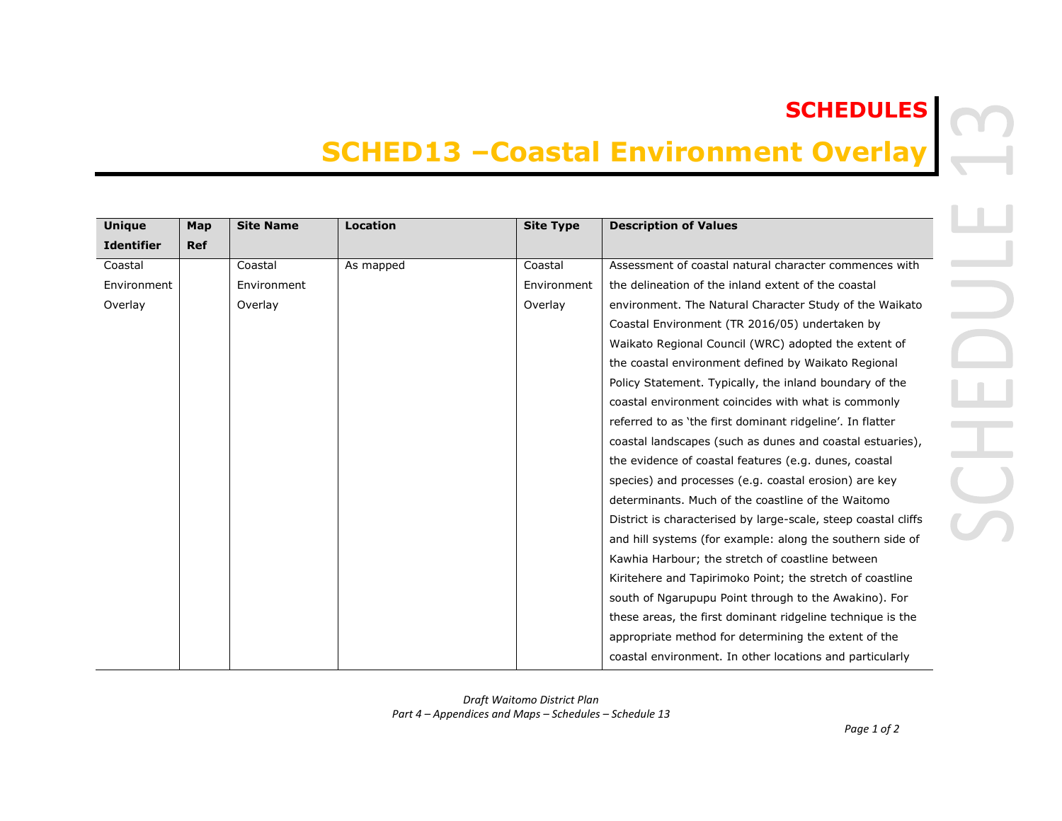## **SCHEDULES**

## **SCHED13 –Coastal Environment Overlay**

| <b>Unique</b>     | Map        | <b>Site Name</b> | <b>Location</b> | <b>Site Type</b> | <b>Description of Values</b>                                   |
|-------------------|------------|------------------|-----------------|------------------|----------------------------------------------------------------|
| <b>Identifier</b> | <b>Ref</b> |                  |                 |                  |                                                                |
| Coastal           |            | Coastal          | As mapped       | Coastal          | Assessment of coastal natural character commences with         |
| Environment       |            | Environment      |                 | Environment      | the delineation of the inland extent of the coastal            |
| Overlay           |            | Overlay          |                 | Overlay          | environment. The Natural Character Study of the Waikato        |
|                   |            |                  |                 |                  | Coastal Environment (TR 2016/05) undertaken by                 |
|                   |            |                  |                 |                  | Waikato Regional Council (WRC) adopted the extent of           |
|                   |            |                  |                 |                  | the coastal environment defined by Waikato Regional            |
|                   |            |                  |                 |                  | Policy Statement. Typically, the inland boundary of the        |
|                   |            |                  |                 |                  | coastal environment coincides with what is commonly            |
|                   |            |                  |                 |                  | referred to as 'the first dominant ridgeline'. In flatter      |
|                   |            |                  |                 |                  | coastal landscapes (such as dunes and coastal estuaries),      |
|                   |            |                  |                 |                  | the evidence of coastal features (e.g. dunes, coastal          |
|                   |            |                  |                 |                  | species) and processes (e.g. coastal erosion) are key          |
|                   |            |                  |                 |                  | determinants. Much of the coastline of the Waitomo             |
|                   |            |                  |                 |                  | District is characterised by large-scale, steep coastal cliffs |
|                   |            |                  |                 |                  | and hill systems (for example: along the southern side of      |
|                   |            |                  |                 |                  | Kawhia Harbour; the stretch of coastline between               |
|                   |            |                  |                 |                  | Kiritehere and Tapirimoko Point; the stretch of coastline      |
|                   |            |                  |                 |                  | south of Ngarupupu Point through to the Awakino). For          |
|                   |            |                  |                 |                  | these areas, the first dominant ridgeline technique is the     |
|                   |            |                  |                 |                  | appropriate method for determining the extent of the           |
|                   |            |                  |                 |                  | coastal environment. In other locations and particularly       |